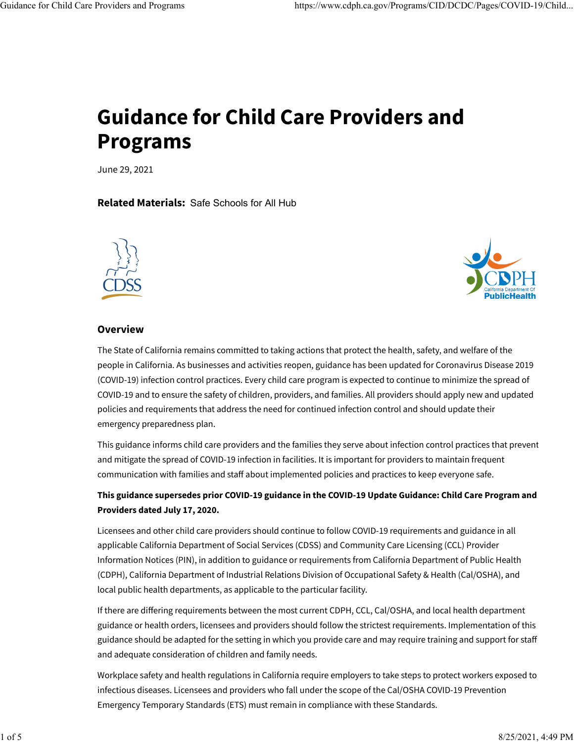# **Guidance for Child Care Providers and Programs**

June 29, 2021

**Related Materials:** [Safe Schools for All Hub](https://schools.covid19.ca.gov/)





#### **Overview**

The State of California remains committed to taking actions that protect the health, safety, and welfare of the people in California. As businesses and activities reopen, guidance has been updated for Coronavirus Disease 2019 (COVID-19) infection control practices. Every child care program is expected to continue to minimize the spread of COVID-19 and to ensure the safety of children, providers, and families. All providers should apply new and updated policies and requirements that address the need for continued infection control and should update their emergency preparedness plan.

This guidance informs child care providers and the families they serve about infection control practices that prevent and mitigate the spread of COVID-19 infection in facilities. It is important for providers to maintain frequent communication with families and staff about implemented policies and practices to keep everyone safe.

# **This guidance supersedes prior COVID-19 guidance in the [COVID-19 Update Guidance: Child Care Program and](https://files.covid19.ca.gov/pdf/guidance-childcare.pdf) [Providers](https://files.covid19.ca.gov/pdf/guidance-childcare.pdf) dated July 17, 2020.**

Licensees and other child care providers should continue to follow COVID-19 requirements and guidance in all applicable California Department of Social Services (CDSS) and Community Care Licensing (CCL) Provider Information Notices (PIN), in addition to guidance or requirements from [California Department of Public Health](https://www.cdph.ca.gov/Programs/CID/DCDC/Pages/Immunization/nCOV2019.aspx) [\(CDPH\),](https://www.cdph.ca.gov/Programs/CID/DCDC/Pages/Immunization/nCOV2019.aspx) [California Department of Industrial Relations Division of Occupational Safety & Health \(Cal/OSHA\),](https://www.dir.ca.gov/dosh/coronavirus/) and [local public health departments,](https://www.cdph.ca.gov/Programs/CID/DCDC/Pages/Immunization/Local-Health-Department.aspx) as applicable to the particular facility.

If there are di�ering requirements between the most current CDPH, CCL, Cal/OSHA, and local health department guidance or health orders, licensees and providers should follow the strictest requirements. Implementation of this guidance should be adapted for the setting in which you provide care and may require training and support for staff and adequate consideration of children and family needs.

Workplace safety and health regulations in California require employers to take steps to protect workers exposed to infectious diseases. Licensees and providers who fall under the scope of the [Cal/OSHA COVID-19 Prevention](https://www.dir.ca.gov/dosh/coronavirus/ETS.html) [Emergency Temporary Standards \(ETS\)](https://www.dir.ca.gov/dosh/coronavirus/ETS.html) must remain in compliance with these Standards.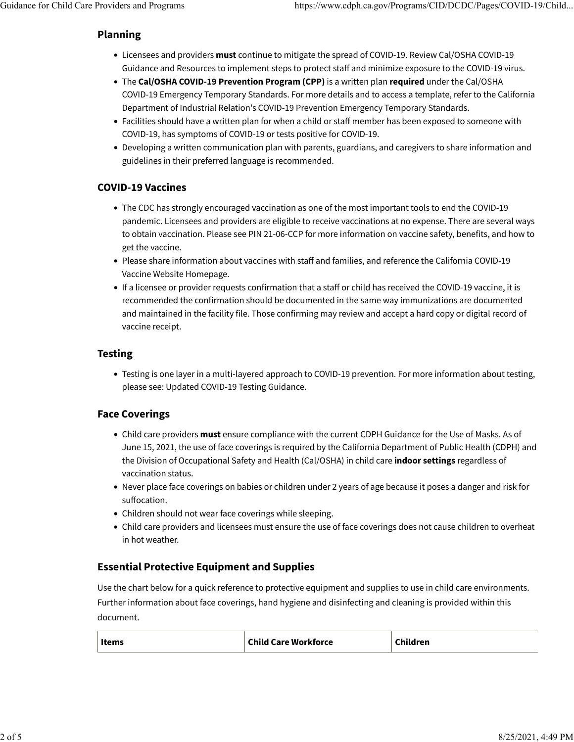## **Planning**

- Licensees and providers **must** continue to mitigate the spread of COVID-19. Review [Cal/OSHA COVID-19](https://www.dir.ca.gov/dosh/coronavirus/) [Guidance and Resources](https://www.dir.ca.gov/dosh/coronavirus/) to implement steps to protect staff and minimize exposure to the COVID-19 virus.
- The **Cal/OSHA COVID-19 Prevention Program (CPP)** is a written plan **required** under the Cal/OSHA COVID-19 Emergency Temporary Standards. For more details and to access a template, refer to the California Department of Industrial Relation's [COVID-19 Prevention Emergency Temporary Standards.](https://www.dir.ca.gov/dosh/coronavirus/ETS.html)
- Facilities should have a written plan for when a child or staff member has been exposed to someone with COVID-19, has [symptoms](https://www.cdc.gov/coronavirus/2019-ncov/symptoms-testing/symptoms.html) of COVID-19 or tests positive for COVID-19.
- Developing a written communication plan with parents, guardians, and caregivers to share information and guidelines in their preferred language is recommended.

# **COVID-19 Vaccines**

- The CDC has strongly encouraged vaccination as one of the most important tools to end the COVID-19 pandemic. Licensees and providers are eligible to receive vaccinations at no expense. There are several ways to obtain vaccination. Please see [PIN 21-06-CCP](https://www.cdss.ca.gov/Portals/9/CCLD/PINs/2021/CCP/PIN-21-06-CCP.pdf) for more information on vaccine safety, benefits, and how to get the vaccine.
- Please share information about vaccines with staff and families, and reference the California COVID-19 Vaccine Website [Homepage.](https://myturn.ca.gov/)
- If a licensee or provider requests confirmation that a staff or child has received the COVID-19 vaccine, it is recommended the confirmation should be documented in the same way immunizations are documented and maintained in the facility file. Those confirming may review and accept a hard copy or digital record of vaccine receipt.

## **Testing**

• Testing is one layer in a multi-layered approach to COVID-19 prevention. For more information about testing, please see: [Updated COVID-19 Testing Guidance.](https://www.cdph.ca.gov/Programs/CID/DCDC/Pages/COVID-19/Updated-COVID-19-Testing-Guidance.aspx)

## **Face Coverings**

- Child care providers **must** ensure compliance with the current CDPH [Guidance for the Use of Masks.](https://www.cdph.ca.gov/Programs/CID/DCDC/Pages/COVID-19/guidance-for-face-coverings.aspx#June15guidance) As of June 15, 2021, the use of face coverings is required by the California Department of Public Health (CDPH) and the Division of Occupational Safety and Health (Cal/OSHA) in child care **indoor settings** regardless of vaccination status.
- Never place face coverings on babies or children under 2 years of age because it poses a danger and risk for suffocation.
- Children should not wear face coverings while sleeping.
- Child care providers and licensees must ensure the use of face coverings does not cause children to overheat in hot weather.

# **Essential Protective Equipment and Supplies**

Use the chart below for a quick reference to protective equipment and supplies to use in child care environments. Further information about face coverings, hand hygiene and disinfecting and cleaning is provided within this document.

| <b>Child Care Workforce</b><br><b>Items</b> | Children |
|---------------------------------------------|----------|
|---------------------------------------------|----------|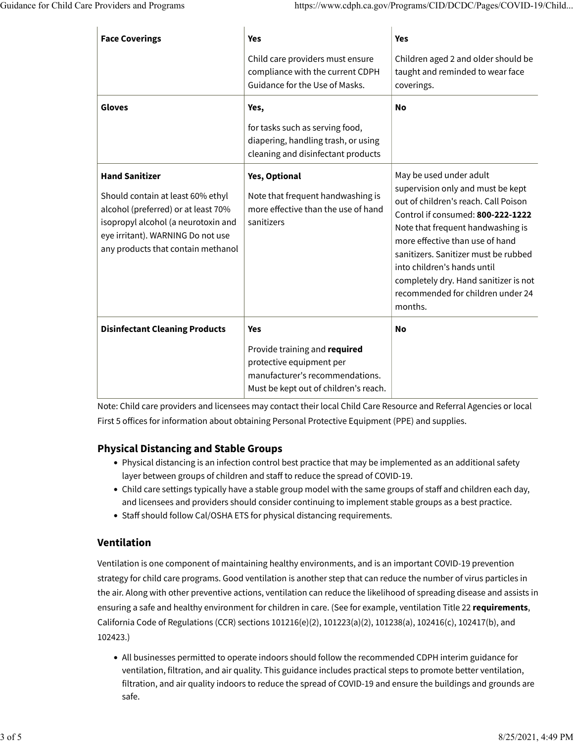| <b>Face Coverings</b>                                                                                                                                                                                               | <b>Yes</b>                                                                                                           | <b>Yes</b>                                                                                                                                                                                                                                                                                                                                                                        |
|---------------------------------------------------------------------------------------------------------------------------------------------------------------------------------------------------------------------|----------------------------------------------------------------------------------------------------------------------|-----------------------------------------------------------------------------------------------------------------------------------------------------------------------------------------------------------------------------------------------------------------------------------------------------------------------------------------------------------------------------------|
|                                                                                                                                                                                                                     | Child care providers must ensure<br>compliance with the current CDPH<br>Guidance for the Use of Masks.               | Children aged 2 and older should be<br>taught and reminded to wear face<br>coverings.                                                                                                                                                                                                                                                                                             |
| <b>Gloves</b>                                                                                                                                                                                                       | Yes,<br>for tasks such as serving food,<br>diapering, handling trash, or using<br>cleaning and disinfectant products | No                                                                                                                                                                                                                                                                                                                                                                                |
| <b>Hand Sanitizer</b><br>Should contain at least 60% ethyl<br>alcohol (preferred) or at least 70%<br>isopropyl alcohol (a neurotoxin and<br>eye irritant). WARNING Do not use<br>any products that contain methanol | Yes, Optional<br>Note that frequent handwashing is<br>more effective than the use of hand<br>sanitizers              | May be used under adult<br>supervision only and must be kept<br>out of children's reach. Call Poison<br>Control if consumed: 800-222-1222<br>Note that frequent handwashing is<br>more effective than use of hand<br>sanitizers. Sanitizer must be rubbed<br>into children's hands until<br>completely dry. Hand sanitizer is not<br>recommended for children under 24<br>months. |
| <b>Disinfectant Cleaning Products</b>                                                                                                                                                                               | <b>Yes</b><br>Provide training and required<br>protective equipment per<br>manufacturer's recommendations.           | <b>No</b>                                                                                                                                                                                                                                                                                                                                                                         |
|                                                                                                                                                                                                                     | Must be kept out of children's reach.                                                                                |                                                                                                                                                                                                                                                                                                                                                                                   |

Note: Child care providers and licensees may contact their local [Child Care Resource and Referral Agencies](https://rrnetwork.org/family-services/find-child-care) or [local](https://www.ccfc.ca.gov/family/family.html#find) [First 5](https://www.ccfc.ca.gov/family/family.html#find) offices for information about obtaining Personal Protective Equipment (PPE) and supplies.

## **Physical Distancing and Stable Groups**

- Physical distancing is an infection control best practice that may be implemented as an additional safety layer between groups of children and staff to reduce the spread of COVID-19.
- Child care settings typically have a stable group model with the same groups of staff and children each day, and licensees and providers should consider continuing to implement stable groups as a best practice.
- Staff should follow [Cal/OSHA ETS](https://www.dir.ca.gov/dosh/coronavirus/ETS.html) for physical distancing requirements.

## **Ventilation**

Ventilation is one component of [maintaining healthy environments,](https://www.cdc.gov/coronavirus/2019-ncov/more/science-and-research/transmission_k_12_schools.html) and is an important COVID-19 prevention strategy for [child](https://www.cdc.gov/coronavirus/2019-ncov/community/schools-childcare/guidance-for-childcare.html) care programs. Good ventilation is another step that can reduce the number of virus particles in the air. Along with [other preventive actions,](https://www.cdc.gov/coronavirus/2019-ncov/prevent-getting-sick/prevention.html) ventilation can reduce the likelihood of spreading disease and assists in ensuring a safe and healthy environment for children in care. (See for example, ventilation Title 22 **requirements**, California Code of Regulations (CCR) sections [101216\(e\)\(2\),](https://govt.westlaw.com/calregs/Document/IA329AB80D4C011DE8879F88E8B0DAAAE?viewType=FullText&listSource=Search&originationContext=Search+Result&transitionType=SearchItem&contextData=%28sc.Search%29&navigationPath=Search/v1/results/navigation/i0ad7140b00000179fc5284e73faef517?ppcid%3d78bc929988bd470a96443fb010cfd065%26Nav%3dREGULATION_PUBLICVIEW%26fragmentIdentifier%3dIA329AB80D4C011DE8879F88E8B0DAAAE%26startIndex%3d1%26transitionType%3dSearchItem%26contextData%3d%2528sc.Default%2529%26originationContext%3dSearch%2520Result&list=REGULATION_PUBLICVIEW&rank=1&t_T1=22&t_T2=101216&t_S1=CA+ADC+s) [101223\(a\)\(2\),](https://govt.westlaw.com/calregs/Document/IA673F480D4C011DE8879F88E8B0DAAAE?viewType=FullText&listSource=Search&originationContext=Search+Result&transitionType=SearchItem&contextData=%28sc.Search%29&navigationPath=Search/v1/results/navigation/i0ad7140b00000179fc530a1e3faef51c?ppcid%3dd4c7270269d74bc6aae00907cb24ba63%26Nav%3dREGULATION_PUBLICVIEW%26fragmentIdentifier%3dIA673F480D4C011DE8879F88E8B0DAAAE%26startIndex%3d1%26transitionType%3dSearchItem%26contextData%3d%2528sc.Default%2529%26originationContext%3dSearch%2520Result&list=REGULATION_PUBLICVIEW&rank=1&t_T1=22&t_T2=101223&t_S1=CA+ADC+s) [101238\(a\),](https://govt.westlaw.com/calregs/Document/IA9E57490D4C011DE8879F88E8B0DAAAE?viewType=FullText&listSource=Search&originationContext=Search+Result&transitionType=SearchItem&contextData=%28sc.Search%29&navigationPath=Search/v1/results/navigation/i0ad7140b00000179fc53827f3faef523?ppcid%3d86a14dcd9f274c368f6e03fd9df65c85%26Nav%3dREGULATION_PUBLICVIEW%26fragmentIdentifier%3dIA9E57490D4C011DE8879F88E8B0DAAAE%26startIndex%3d1%26transitionType%3dSearchItem%26contextData%3d%2528sc.Default%2529%26originationContext%3dSearch%2520Result&list=REGULATION_PUBLICVIEW&rank=1&t_T1=22&t_T2=101238&t_S1=CA+ADC+s) [102416\(c\),](https://govt.westlaw.com/calregs/Document/ICE1BA0A0D4C011DE8879F88E8B0DAAAE?viewType=FullText&listSource=Search&originationContext=Search+Result&transitionType=SearchItem&contextData=%28sc.Search%29&navigationPath=Search/v1/results/navigation/i0ad7140a00000179fc53efa0d2ec21f2?ppcid%3d10ae90ef4aa0411f9ea0ee0215c015ea%26Nav%3dREGULATION_PUBLICVIEW%26fragmentIdentifier%3dICE1BA0A0D4C011DE8879F88E8B0DAAAE%26startIndex%3d1%26transitionType%3dSearchItem%26contextData%3d%2528sc.Default%2529%26originationContext%3dSearch%2520Result&list=REGULATION_PUBLICVIEW&rank=1&t_T1=22&t_T2=102416&t_S1=CA+ADC+s) [102417\(b\),](https://govt.westlaw.com/calregs/Document/ID4B30CAB76BA400AA7210B6CD2AA6348?viewType=FullText&listSource=Search&originationContext=Search+Result&transitionType=SearchItem&contextData=%28sc.Search%29&navigationPath=Search/v1/results/navigation/i0ad7140a00000179fc546262d2ec21f6?ppcid%3d7e683930620d4034b873fbbd08d5577d%26Nav%3dREGULATION_PUBLICVIEW%26fragmentIdentifier%3dID4B30CAB76BA400AA7210B6CD2AA6348%26startIndex%3d1%26transitionType%3dSearchItem%26contextData%3d%2528sc.Default%2529%26originationContext%3dSearch%2520Result&list=REGULATION_PUBLICVIEW&rank=1&t_T1=22&t_T2=102417&t_S1=CA+ADC+s) and [102423.](https://govt.westlaw.com/calregs/Document/ID0636DC0D4C011DE8879F88E8B0DAAAE?viewType=FullText&listSource=Search&originationContext=Search+Result&transitionType=SearchItem&contextData=%28sc.Search%29&navigationPath=Search/v1/results/navigation/i0ad7140a00000179fc54ce26d2ec21f8?ppcid%3d1dd544d3e6ac4f128965dff43cd82188%26Nav%3dREGULATION_PUBLICVIEW%26fragmentIdentifier%3dID0636DC0D4C011DE8879F88E8B0DAAAE%26startIndex%3d1%26transitionType%3dSearchItem%26contextData%3d%2528sc.Default%2529%26originationContext%3dSearch%2520Result&list=REGULATION_PUBLICVIEW&rank=1&t_T1=22&t_T2=102423&t_S1=CA+ADC+s))

• All businesses permitted to operate indoors should follow the recommended CDPH interim [guidance for](https://www.cdph.ca.gov/Programs/CID/DCDC/Pages/COVID-19/Interim-Guidance-for-Ventilation-Filtration-and-Air-Quality-in-Indoor-Environments.aspx) [ventilation, filtration, and air quality.](https://www.cdph.ca.gov/Programs/CID/DCDC/Pages/COVID-19/Interim-Guidance-for-Ventilation-Filtration-and-Air-Quality-in-Indoor-Environments.aspx) This guidance includes practical steps to promote better ventilation, filtration, and air quality indoors to reduce the spread of COVID-19 and ensure the buildings and grounds are safe.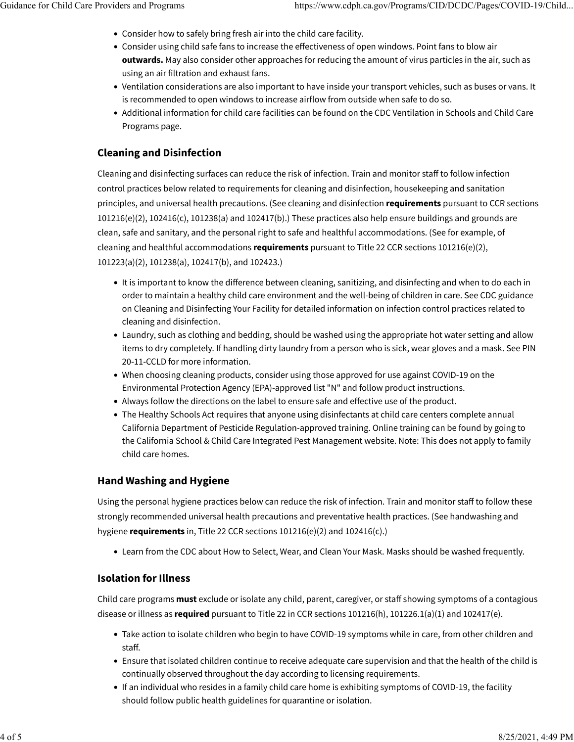- Consider how to safely bring fresh air into the child care facility.
- Consider using child safe fans to increase the effectiveness of open windows. Point fans to blow air **outwards.** May also consider other approaches for reducing the amount of virus particles in the air, such as using an air filtration and exhaust fans.
- Ventilation considerations are also important to have inside your transport vehicles, such as buses or vans. It is recommended to open windows to increase airflow from outside when safe to do so.
- Additional information for child care facilities can be found on the CDC [Ventilation in Schools and Child Care](https://www.cdc.gov/coronavirus/2019-ncov/community/schools-childcare/ventilation.html) [Programs](https://www.cdc.gov/coronavirus/2019-ncov/community/schools-childcare/ventilation.html) page.

# **Cleaning and Disinfection**

Cleaning and disinfecting surfaces can reduce the risk of infection. Train and monitor staff to follow infection control practices below related to requirements for cleaning and disinfection, housekeeping and sanitation principles, and universal health precautions. (See cleaning and disinfection **requirements** pursuant to [CCR sections](https://govt.westlaw.com/calregs/Document/IA329AB80D4C011DE8879F88E8B0DAAAE?viewType=FullText&listSource=Search&originationContext=Search+Result&transitionType=SearchItem&contextData=%28sc.Search%29&navigationPath=Search/v1/results/navigation/i0ad720f200000179f85973c9b971fd0b?ppcid%3d62174619b8cb4d47a55934f1702c3e2f%26Nav%3dREGULATION_PUBLICVIEW%26fragmentIdentifier%3dIA329AB80D4C011DE8879F88E8B0DAAAE%26startIndex%3d1%26transitionType%3dSearchItem%26contextData%3d%2528sc.Default%2529%26originationContext%3dSearch%2520Result&list=REGULATION_PUBLICVIEW&rank=1&t_T1=22&t_T2=+101216&t_S1=CA+ADC+s) [101216\(e\)\(2\)](https://govt.westlaw.com/calregs/Document/IA329AB80D4C011DE8879F88E8B0DAAAE?viewType=FullText&listSource=Search&originationContext=Search+Result&transitionType=SearchItem&contextData=%28sc.Search%29&navigationPath=Search/v1/results/navigation/i0ad720f200000179f85973c9b971fd0b?ppcid%3d62174619b8cb4d47a55934f1702c3e2f%26Nav%3dREGULATION_PUBLICVIEW%26fragmentIdentifier%3dIA329AB80D4C011DE8879F88E8B0DAAAE%26startIndex%3d1%26transitionType%3dSearchItem%26contextData%3d%2528sc.Default%2529%26originationContext%3dSearch%2520Result&list=REGULATION_PUBLICVIEW&rank=1&t_T1=22&t_T2=+101216&t_S1=CA+ADC+s), [102416\(c\),](https://govt.westlaw.com/calregs/Document/ICE1BA0A0D4C011DE8879F88E8B0DAAAE?viewType=FullText&originationContext=documenttoc&transitionType=CategoryPageItem&contextData=%28sc.Default%29) [101238\(a\)](https://govt.westlaw.com/calregs/Document/IA9E57490D4C011DE8879F88E8B0DAAAE?viewType=FullText&listSource=Search&originationContext=Search+Result&transitionType=SearchItem&contextData=%28sc.Search%29&navigationPath=Search/v1/results/navigation/i0ad7140b00000179fc53827f3faef523?ppcid%3d86a14dcd9f274c368f6e03fd9df65c85%26Nav%3dREGULATION_PUBLICVIEW%26fragmentIdentifier%3dIA9E57490D4C011DE8879F88E8B0DAAAE%26startIndex%3d1%26transitionType%3dSearchItem%26contextData%3d%2528sc.Default%2529%26originationContext%3dSearch%2520Result&list=REGULATION_PUBLICVIEW&rank=1&t_T1=22&t_T2=101238&t_S1=CA+ADC+s) and [102417\(b\).](https://govt.westlaw.com/calregs/Document/ID4B30CAB76BA400AA7210B6CD2AA6348?viewType=FullText&listSource=Search&originationContext=Search+Result&transitionType=SearchItem&contextData=%28sc.Search%29&navigationPath=Search/v1/results/navigation/i0ad7140a00000179fc546262d2ec21f6?ppcid%3d7e683930620d4034b873fbbd08d5577d%26Nav%3dREGULATION_PUBLICVIEW%26fragmentIdentifier%3dID4B30CAB76BA400AA7210B6CD2AA6348%26startIndex%3d1%26transitionType%3dSearchItem%26contextData%3d%2528sc.Default%2529%26originationContext%3dSearch%2520Result&list=REGULATION_PUBLICVIEW&rank=1&t_T1=22&t_T2=102417&t_S1=CA+ADC+s)) These practices also help ensure buildings and grounds are clean, safe and sanitary, and the personal right to safe and healthful accommodations. (See for example, of cleaning and healthful accommodations **requirements** pursuant to Title 22 CCR sections [101216\(e\)\(2\),](https://govt.westlaw.com/calregs/Document/IA329AB80D4C011DE8879F88E8B0DAAAE?viewType=FullText&listSource=Search&originationContext=Search+Result&transitionType=SearchItem&contextData=%28sc.Search%29&navigationPath=Search/v1/results/navigation/i0ad7140b00000179fc5284e73faef517?ppcid%3d78bc929988bd470a96443fb010cfd065%26Nav%3dREGULATION_PUBLICVIEW%26fragmentIdentifier%3dIA329AB80D4C011DE8879F88E8B0DAAAE%26startIndex%3d1%26transitionType%3dSearchItem%26contextData%3d%2528sc.Default%2529%26originationContext%3dSearch%2520Result&list=REGULATION_PUBLICVIEW&rank=1&t_T1=22&t_T2=101216&t_S1=CA+ADC+s) [101223\(a\)\(2\)](https://govt.westlaw.com/calregs/Document/IA673F480D4C011DE8879F88E8B0DAAAE?viewType=FullText&listSource=Search&originationContext=Search+Result&transitionType=SearchItem&contextData=%28sc.Search%29&navigationPath=Search/v1/results/navigation/i0ad7140b00000179fc530a1e3faef51c?ppcid%3dd4c7270269d74bc6aae00907cb24ba63%26Nav%3dREGULATION_PUBLICVIEW%26fragmentIdentifier%3dIA673F480D4C011DE8879F88E8B0DAAAE%26startIndex%3d1%26transitionType%3dSearchItem%26contextData%3d%2528sc.Default%2529%26originationContext%3dSearch%2520Result&list=REGULATION_PUBLICVIEW&rank=1&t_T1=22&t_T2=101223&t_S1=CA+ADC+s), [101238\(a\),](https://govt.westlaw.com/calregs/Document/IA9E57490D4C011DE8879F88E8B0DAAAE?viewType=FullText&listSource=Search&originationContext=Search+Result&transitionType=SearchItem&contextData=%28sc.Search%29&navigationPath=Search/v1/results/navigation/i0ad7140b00000179fc53827f3faef523?ppcid%3d86a14dcd9f274c368f6e03fd9df65c85%26Nav%3dREGULATION_PUBLICVIEW%26fragmentIdentifier%3dIA9E57490D4C011DE8879F88E8B0DAAAE%26startIndex%3d1%26transitionType%3dSearchItem%26contextData%3d%2528sc.Default%2529%26originationContext%3dSearch%2520Result&list=REGULATION_PUBLICVIEW&rank=1&t_T1=22&t_T2=101238&t_S1=CA+ADC+s) [102417\(b\),](https://govt.westlaw.com/calregs/Document/ID4B30CAB76BA400AA7210B6CD2AA6348?viewType=FullText&listSource=Search&originationContext=Search+Result&transitionType=SearchItem&contextData=%28sc.Search%29&navigationPath=Search/v1/results/navigation/i0ad7140a00000179fc546262d2ec21f6?ppcid%3d7e683930620d4034b873fbbd08d5577d%26Nav%3dREGULATION_PUBLICVIEW%26fragmentIdentifier%3dID4B30CAB76BA400AA7210B6CD2AA6348%26startIndex%3d1%26transitionType%3dSearchItem%26contextData%3d%2528sc.Default%2529%26originationContext%3dSearch%2520Result&list=REGULATION_PUBLICVIEW&rank=1&t_T1=22&t_T2=102417&t_S1=CA+ADC+s) and [102423.](https://govt.westlaw.com/calregs/Document/ID0636DC0D4C011DE8879F88E8B0DAAAE?viewType=FullText&listSource=Search&originationContext=Search+Result&transitionType=SearchItem&contextData=%28sc.Search%29&navigationPath=Search/v1/results/navigation/i0ad7140a00000179fc54ce26d2ec21f8?ppcid%3d1dd544d3e6ac4f128965dff43cd82188%26Nav%3dREGULATION_PUBLICVIEW%26fragmentIdentifier%3dID0636DC0D4C011DE8879F88E8B0DAAAE%26startIndex%3d1%26transitionType%3dSearchItem%26contextData%3d%2528sc.Default%2529%26originationContext%3dSearch%2520Result&list=REGULATION_PUBLICVIEW&rank=1&t_T1=22&t_T2=102423&t_S1=CA+ADC+s))

- It is important to know the difference between cleaning, sanitizing, and disinfecting and when to do each in order to maintain a healthy child care environment and the well-being of children in care. See CDC guidance on [Cleaning and Disinfecting Your Facility](https://www.cdc.gov/coronavirus/2019-ncov/community/disinfecting-building-facility.html?CDC_AA_refVal=https://www.cdc.gov/coronavirus/2019-ncov/community/organizations/cleaning-disinfection.html) for detailed information on infection control practices related to cleaning and disinfection.
- Laundry, such as clothing and bedding, should be washed using the appropriate hot water setting and allow items to dry completely. If handling dirty laundry from a person who is sick, wear gloves and a mask. See [PIN](https://cdss.ca.gov/Portals/9/CCLD/Pins/2020/CCLD/PIN-20-14-CCLD.pdf) [20-11-CCLD](https://cdss.ca.gov/Portals/9/CCLD/Pins/2020/CCLD/PIN-20-14-CCLD.pdf) for more information.
- When choosing cleaning products, consider using those approved for use against COVID-19 on the [Environmental Protection Agency \(EPA\)-approved list](https://www.epa.gov/pesticide-registration/list-n-disinfectants-use-against-sars-cov-2) ["N" a](https://www.epa.gov/pesticide-registration/list-n-disinfectants-use-against-sars-cov-2)nd follow product instructions.
- Always follow the directions on the label to ensure safe and effective use of the product.
- The Healthy Schools Act requires that anyone using disinfectants at child care centers complete annual California Department of Pesticide Regulation-approved training. Online training can be found by going to the [California School & Child Care Integrated Pest Management](https://apps.cdpr.ca.gov/schoolipm/) website. Note: This does not apply to family child care homes.

## **Hand Washing and Hygiene**

Using the personal hygiene practices below can reduce the risk of infection. Train and monitor staff to follow these strongly recommended universal health precautions and preventative health practices. (See handwashing and hygiene **requirements** in, Title 22 CCR sections [101216\(e\)\(2\)](https://govt.westlaw.com/calregs/Document/IA329AB80D4C011DE8879F88E8B0DAAAE?viewType=FullText&listSource=Search&originationContext=Search+Result&transitionType=SearchItem&contextData=%28sc.Search%29&navigationPath=Search/v1/results/navigation/i0ad7140b00000179fc5284e73faef517?ppcid%3d78bc929988bd470a96443fb010cfd065%26Nav%3dREGULATION_PUBLICVIEW%26fragmentIdentifier%3dIA329AB80D4C011DE8879F88E8B0DAAAE%26startIndex%3d1%26transitionType%3dSearchItem%26contextData%3d%2528sc.Default%2529%26originationContext%3dSearch%2520Result&list=REGULATION_PUBLICVIEW&rank=1&t_T1=22&t_T2=101216&t_S1=CA+ADC+s) and [102416\(c\).](https://govt.westlaw.com/calregs/Document/ICE1BA0A0D4C011DE8879F88E8B0DAAAE?viewType=FullText&originationContext=documenttoc&transitionType=CategoryPageItem&contextData=%28sc.Default%29))

• Learn from the CDC about [How to Select, Wear,](https://www.cdc.gov/coronavirus/2019-ncov/prevent-getting-sick/diy-cloth-face-coverings.html) and [Clean Your Mask.](https://www.cdc.gov/coronavirus/2019-ncov/prevent-getting-sick/how-to-wash-cloth-face-coverings.html) Masks should be washed frequently.

## **Isolation for Illness**

Child care programs **must** exclude or isolate any child, parent, caregiver, or staff showing symptoms of a contagious disease or illness as **required** pursuant to Title 22 in [CCR sections 101216\(h\), 101226.1\(a\)\(1\)](https://govt.westlaw.com/calregs/Document/IA7D0EC70D4C011DE8879F88E8B0DAAAE?viewType=FullText&listSource=Search&originationContext=Search+Result&transitionType=SearchItem&contextData=%28sc.Search%29&navigationPath=Search/v1/results/navigation/i0ad720f100000179f85c7db479f51db4?ppcid%3d07afebbeca0841619b8dd8f7ed1139bf%26Nav%3dREGULATION_PUBLICVIEW%26fragmentIdentifier%3dIA7D0EC70D4C011DE8879F88E8B0DAAAE%26startIndex%3d1%26transitionType%3dSearchItem%26contextData%3d%2528sc.Default%2529%26originationContext%3dSearch%2520Result&list=REGULATION_PUBLICVIEW&rank=1&t_T1=22&t_T2=+101226.1&t_S1=CA+ADC+s) and [102417\(e\).](https://govt.westlaw.com/calregs/Document/ID4B30CAB76BA400AA7210B6CD2AA6348?viewType=FullText&originationContext=documenttoc&transitionType=CategoryPageItem&contextData=%28sc.Default%29)

- [Take action](https://www.cdc.gov/coronavirus/2019-ncov/community/schools-childcare/student-becomes-sick-diagnosis-flowchart.html) to [isolate](https://www.cdc.gov/coronavirus/2019-ncov/if-you-are-sick/isolation.html) children who begin to have COVID-19 symptoms while in care, from other children and staff.
- Ensure that isolated children continue to receive adequate care supervision and that the health of the child is continually observed throughout the day according to licensing requirements.
- If an individual who resides in a family child care home is exhibiting symptoms of COVID-19, the facility should follow [public health guidelines](https://www.cdph.ca.gov/Programs/CID/DCDC/Pages/COVID-19/Guidance-on-Isolation-and-Quarantine-for-COVID-19-Contact-Tracing.aspx) for quarantine or isolation.